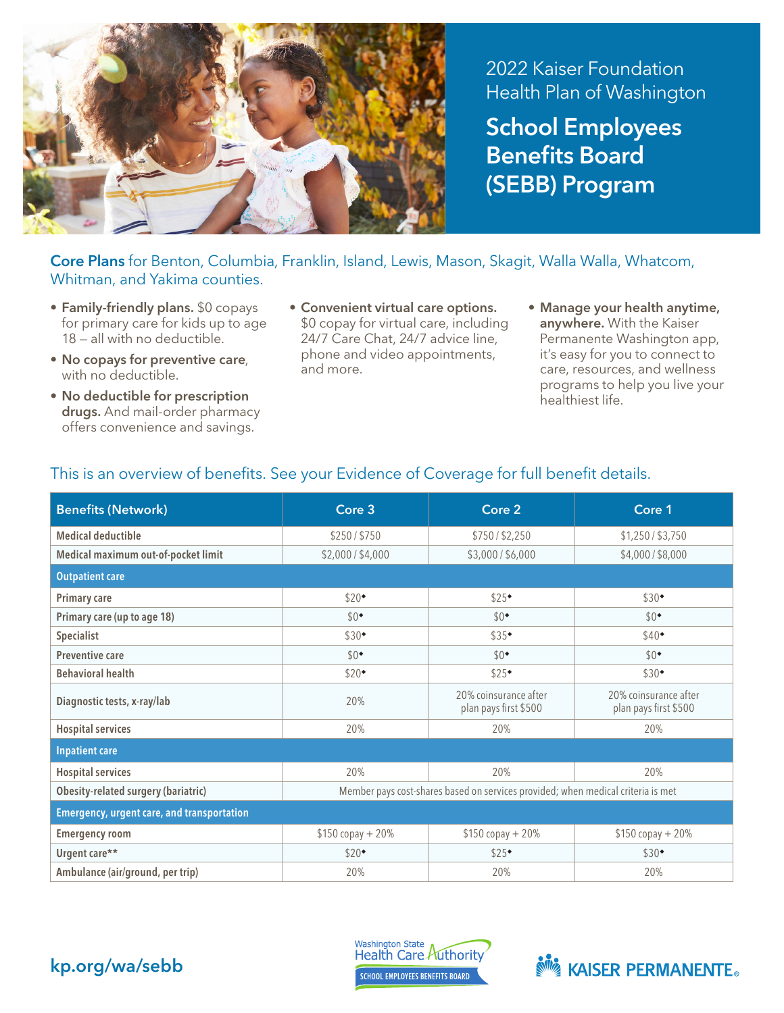

2022 Kaiser Foundation Health Plan of Washington School Employees

Benefits Board (SEBB) Program

## Core Plans for Benton, Columbia, Franklin, Island, Lewis, Mason, Skagit, Walla Walla, Whatcom, Whitman, and Yakima counties.

- Family-friendly plans. \$0 copays for primary care for kids up to age 18 — all with no deductible.
- No copays for preventive care, with no deductible.
- No deductible for prescription drugs. And mail-order pharmacy offers convenience and savings.
- Convenient virtual care options. \$0 copay for virtual care, including 24/7 Care Chat, 24/7 advice line, phone and video appointments, and more.
- Manage your health anytime, anywhere. With the Kaiser Permanente Washington app, it's easy for you to connect to care, resources, and wellness programs to help you live your healthiest life.

| <b>Benefits (Network)</b>                         | Core 3                                                                           | Core 2                                         | Core 1                                         |  |  |
|---------------------------------------------------|----------------------------------------------------------------------------------|------------------------------------------------|------------------------------------------------|--|--|
| <b>Medical deductible</b>                         | \$250/\$750                                                                      | \$750 / \$2,250                                | \$1,250 / \$3,750                              |  |  |
| Medical maximum out-of-pocket limit               | \$2,000 / \$4,000                                                                | \$3,000/\$6,000                                | \$4,000/\$8,000                                |  |  |
| <b>Outpatient care</b>                            |                                                                                  |                                                |                                                |  |  |
| <b>Primary care</b>                               | \$20                                                                             | \$25                                           | $$30*$                                         |  |  |
| Primary care (up to age 18)                       | $$0^{\bullet}$                                                                   | $$0^{\bullet}$                                 | $$0^{\bullet}$                                 |  |  |
| Specialist                                        | $$30^{\bullet}$                                                                  | \$35                                           | $$40+$                                         |  |  |
| <b>Preventive care</b>                            | $$0^{\bullet}$                                                                   | $$0^{\bullet}$                                 | $$0^{\bullet}$                                 |  |  |
| <b>Behavioral health</b>                          | $$20^{\bullet}$                                                                  | \$25                                           | $$30*$                                         |  |  |
| Diagnostic tests, x-ray/lab                       | 20%                                                                              | 20% coinsurance after<br>plan pays first \$500 | 20% coinsurance after<br>plan pays first \$500 |  |  |
| <b>Hospital services</b>                          | 20%                                                                              | 20%                                            | 20%                                            |  |  |
| <b>Inpatient care</b>                             |                                                                                  |                                                |                                                |  |  |
| <b>Hospital services</b>                          | 20%                                                                              | 20%                                            | 20%                                            |  |  |
| <b>Obesity-related surgery (bariatric)</b>        | Member pays cost-shares based on services provided; when medical criteria is met |                                                |                                                |  |  |
| <b>Emergency, urgent care, and transportation</b> |                                                                                  |                                                |                                                |  |  |
| <b>Emergency room</b>                             | $$150 copy + 20%$                                                                | $$150 copy + 20%$                              | $$150 copy + 20%$                              |  |  |
| Urgent care**                                     | \$20                                                                             | \$25                                           | $$30*$                                         |  |  |
| Ambulance (air/ground, per trip)                  | 20%                                                                              | 20%                                            | 20%                                            |  |  |

## This is an overview of benefits. See your Evidence of Coverage for full benefit details.



Washington State<br>Health Care Authority **SCHOOL EMPLOYEES BENEFITS BOARD**